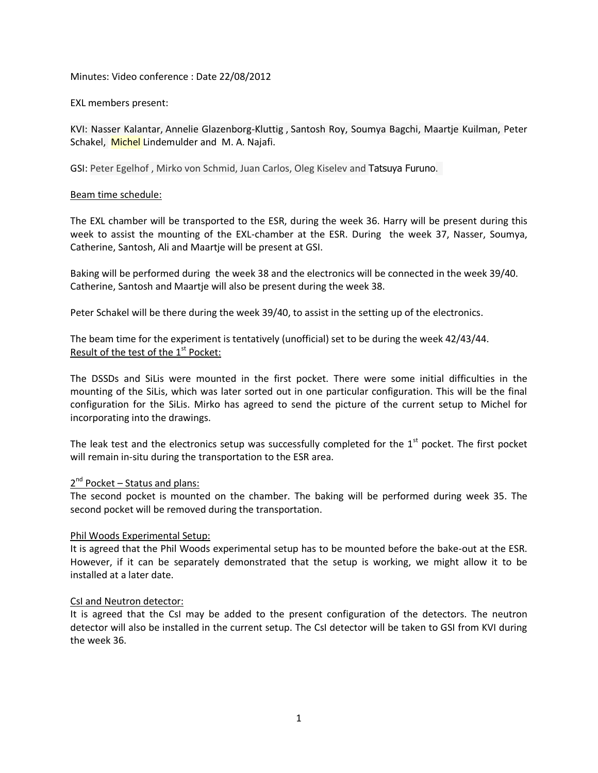Minutes: Video conference : Date 22/08/2012

EXL members present:

KVI: Nasser Kalantar, Annelie Glazenborg-Kluttig , Santosh Roy, Soumya Bagchi, Maartje Kuilman, Peter Schakel, Michel Lindemulder and M.A. Najafi.

GSI: Peter Egelhof , Mirko von Schmid, Juan Carlos, Oleg Kiselev and Tatsuya Furuno.

# Beam time schedule:

The EXL chamber will be transported to the ESR, during the week 36. Harry will be present during this week to assist the mounting of the EXL-chamber at the ESR. During the week 37, Nasser, Soumya, Catherine, Santosh, Ali and Maartje will be present at GSI.

Baking will be performed during the week 38 and the electronics will be connected in the week 39/40. Catherine, Santosh and Maartje will also be present during the week 38.

Peter Schakel will be there during the week 39/40, to assist in the setting up of the electronics.

The beam time for the experiment is tentatively (unofficial) set to be during the week 42/43/44. Result of the test of the  $1<sup>st</sup>$  Pocket:

The DSSDs and SiLis were mounted in the first pocket. There were some initial difficulties in the mounting of the SiLis, which was later sorted out in one particular configuration. This will be the final configuration for the SiLis. Mirko has agreed to send the picture of the current setup to Michel for incorporating into the drawings.

The leak test and the electronics setup was successfully completed for the  $1<sup>st</sup>$  pocket. The first pocket will remain in-situ during the transportation to the ESR area.

# 2<sup>nd</sup> Pocket – Status and plans:

The second pocket is mounted on the chamber. The baking will be performed during week 35. The second pocket will be removed during the transportation.

### Phil Woods Experimental Setup:

It is agreed that the Phil Woods experimental setup has to be mounted before the bake-out at the ESR. However, if it can be separately demonstrated that the setup is working, we might allow it to be installed at a later date.

## CsI and Neutron detector:

It is agreed that the CsI may be added to the present configuration of the detectors. The neutron detector will also be installed in the current setup. The CsI detector will be taken to GSI from KVI during the week 36.